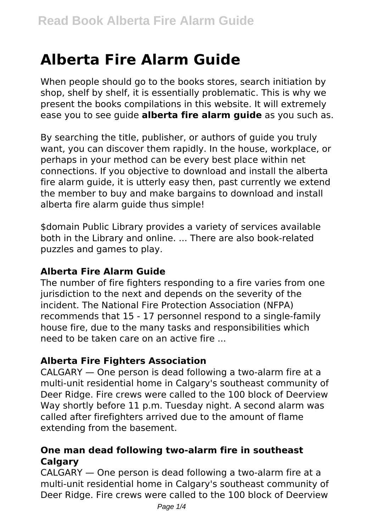# **Alberta Fire Alarm Guide**

When people should go to the books stores, search initiation by shop, shelf by shelf, it is essentially problematic. This is why we present the books compilations in this website. It will extremely ease you to see guide **alberta fire alarm guide** as you such as.

By searching the title, publisher, or authors of guide you truly want, you can discover them rapidly. In the house, workplace, or perhaps in your method can be every best place within net connections. If you objective to download and install the alberta fire alarm guide, it is utterly easy then, past currently we extend the member to buy and make bargains to download and install alberta fire alarm guide thus simple!

\$domain Public Library provides a variety of services available both in the Library and online. ... There are also book-related puzzles and games to play.

#### **Alberta Fire Alarm Guide**

The number of fire fighters responding to a fire varies from one jurisdiction to the next and depends on the severity of the incident. The National Fire Protection Association (NFPA) recommends that 15 - 17 personnel respond to a single-family house fire, due to the many tasks and responsibilities which need to be taken care on an active fire ...

#### **Alberta Fire Fighters Association**

CALGARY — One person is dead following a two-alarm fire at a multi-unit residential home in Calgary's southeast community of Deer Ridge. Fire crews were called to the 100 block of Deerview Way shortly before 11 p.m. Tuesday night. A second alarm was called after firefighters arrived due to the amount of flame extending from the basement.

#### **One man dead following two-alarm fire in southeast Calgary**

CALGARY — One person is dead following a two-alarm fire at a multi-unit residential home in Calgary's southeast community of Deer Ridge. Fire crews were called to the 100 block of Deerview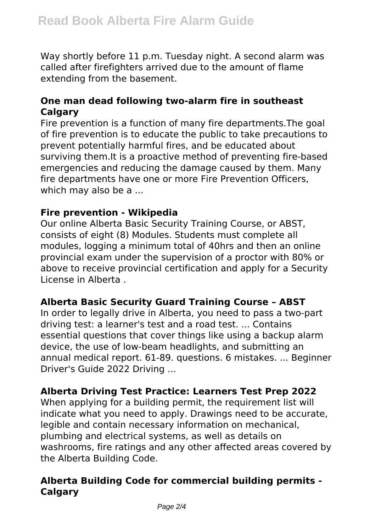Way shortly before 11 p.m. Tuesday night. A second alarm was called after firefighters arrived due to the amount of flame extending from the basement.

#### **One man dead following two-alarm fire in southeast Calgary**

Fire prevention is a function of many fire departments.The goal of fire prevention is to educate the public to take precautions to prevent potentially harmful fires, and be educated about surviving them.It is a proactive method of preventing fire-based emergencies and reducing the damage caused by them. Many fire departments have one or more Fire Prevention Officers, which may also be a ...

#### **Fire prevention - Wikipedia**

Our online Alberta Basic Security Training Course, or ABST, consists of eight (8) Modules. Students must complete all modules, logging a minimum total of 40hrs and then an online provincial exam under the supervision of a proctor with 80% or above to receive provincial certification and apply for a Security License in Alberta .

#### **Alberta Basic Security Guard Training Course – ABST**

In order to legally drive in Alberta, you need to pass a two-part driving test: a learner's test and a road test. ... Contains essential questions that cover things like using a backup alarm device, the use of low-beam headlights, and submitting an annual medical report. 61-89. questions. 6 mistakes. ... Beginner Driver's Guide 2022 Driving ...

#### **Alberta Driving Test Practice: Learners Test Prep 2022**

When applying for a building permit, the requirement list will indicate what you need to apply. Drawings need to be accurate, legible and contain necessary information on mechanical, plumbing and electrical systems, as well as details on washrooms, fire ratings and any other affected areas covered by the Alberta Building Code.

## **Alberta Building Code for commercial building permits - Calgary**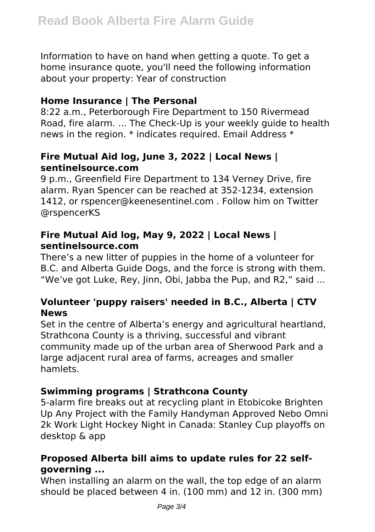Information to have on hand when getting a quote. To get a home insurance quote, you'll need the following information about your property: Year of construction

#### **Home Insurance | The Personal**

8:22 a.m., Peterborough Fire Department to 150 Rivermead Road, fire alarm. ... The Check-Up is your weekly guide to health news in the region. \* indicates required. Email Address \*

#### **Fire Mutual Aid log, June 3, 2022 | Local News | sentinelsource.com**

9 p.m., Greenfield Fire Department to 134 Verney Drive, fire alarm. Ryan Spencer can be reached at 352-1234, extension 1412, or rspencer@keenesentinel.com . Follow him on Twitter @rspencerKS

### **Fire Mutual Aid log, May 9, 2022 | Local News | sentinelsource.com**

There's a new litter of puppies in the home of a volunteer for B.C. and Alberta Guide Dogs, and the force is strong with them. "We've got Luke, Rey, Jinn, Obi, Jabba the Pup, and R2," said ...

## **Volunteer 'puppy raisers' needed in B.C., Alberta | CTV News**

Set in the centre of Alberta's energy and agricultural heartland, Strathcona County is a thriving, successful and vibrant community made up of the urban area of Sherwood Park and a large adjacent rural area of farms, acreages and smaller hamlets.

## **Swimming programs | Strathcona County**

5-alarm fire breaks out at recycling plant in Etobicoke Brighten Up Any Project with the Family Handyman Approved Nebo Omni 2k Work Light Hockey Night in Canada: Stanley Cup playoffs on desktop & app

## **Proposed Alberta bill aims to update rules for 22 selfgoverning ...**

When installing an alarm on the wall, the top edge of an alarm should be placed between 4 in. (100 mm) and 12 in. (300 mm)